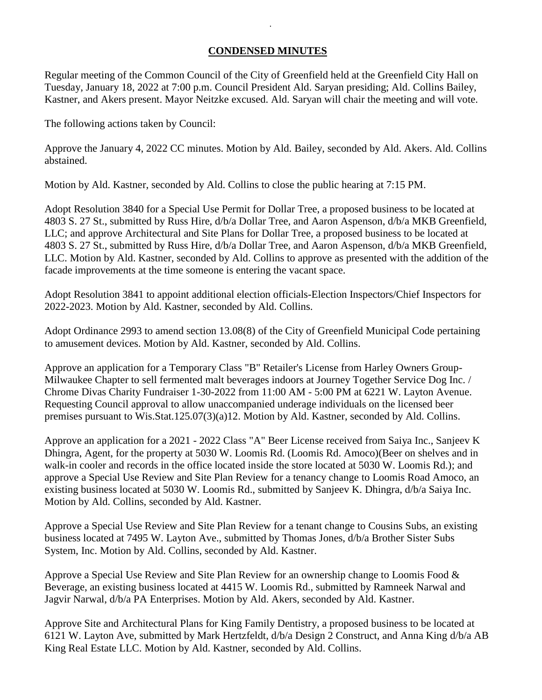## **CONDENSED MINUTES**

*.*

Regular meeting of the Common Council of the City of Greenfield held at the Greenfield City Hall on Tuesday, January 18, 2022 at 7:00 p.m. Council President Ald. Saryan presiding; Ald. Collins Bailey, Kastner, and Akers present. Mayor Neitzke excused. Ald. Saryan will chair the meeting and will vote.

The following actions taken by Council:

Approve the January 4, 2022 CC minutes. Motion by Ald. Bailey, seconded by Ald. Akers. Ald. Collins abstained.

Motion by Ald. Kastner, seconded by Ald. Collins to close the public hearing at 7:15 PM.

Adopt Resolution 3840 for a Special Use Permit for Dollar Tree, a proposed business to be located at 4803 S. 27 St., submitted by Russ Hire, d/b/a Dollar Tree, and Aaron Aspenson, d/b/a MKB Greenfield, LLC; and approve Architectural and Site Plans for Dollar Tree, a proposed business to be located at 4803 S. 27 St., submitted by Russ Hire, d/b/a Dollar Tree, and Aaron Aspenson, d/b/a MKB Greenfield, LLC. Motion by Ald. Kastner, seconded by Ald. Collins to approve as presented with the addition of the facade improvements at the time someone is entering the vacant space.

Adopt Resolution 3841 to appoint additional election officials-Election Inspectors/Chief Inspectors for 2022-2023. Motion by Ald. Kastner, seconded by Ald. Collins.

Adopt Ordinance 2993 to amend section 13.08(8) of the City of Greenfield Municipal Code pertaining to amusement devices. Motion by Ald. Kastner, seconded by Ald. Collins.

Approve an application for a Temporary Class "B" Retailer's License from Harley Owners Group-Milwaukee Chapter to sell fermented malt beverages indoors at Journey Together Service Dog Inc. / Chrome Divas Charity Fundraiser 1-30-2022 from 11:00 AM - 5:00 PM at 6221 W. Layton Avenue. Requesting Council approval to allow unaccompanied underage individuals on the licensed beer premises pursuant to Wis.Stat.125.07(3)(a)12. Motion by Ald. Kastner, seconded by Ald. Collins.

Approve an application for a 2021 - 2022 Class "A" Beer License received from Saiya Inc., Sanjeev K Dhingra, Agent, for the property at 5030 W. Loomis Rd. (Loomis Rd. Amoco)(Beer on shelves and in walk-in cooler and records in the office located inside the store located at 5030 W. Loomis Rd.); and approve a Special Use Review and Site Plan Review for a tenancy change to Loomis Road Amoco, an existing business located at 5030 W. Loomis Rd., submitted by Sanjeev K. Dhingra, d/b/a Saiya Inc. Motion by Ald. Collins, seconded by Ald. Kastner.

Approve a Special Use Review and Site Plan Review for a tenant change to Cousins Subs, an existing business located at 7495 W. Layton Ave., submitted by Thomas Jones, d/b/a Brother Sister Subs System, Inc. Motion by Ald. Collins, seconded by Ald. Kastner.

Approve a Special Use Review and Site Plan Review for an ownership change to Loomis Food & Beverage, an existing business located at 4415 W. Loomis Rd., submitted by Ramneek Narwal and Jagvir Narwal, d/b/a PA Enterprises. Motion by Ald. Akers, seconded by Ald. Kastner.

Approve Site and Architectural Plans for King Family Dentistry, a proposed business to be located at 6121 W. Layton Ave, submitted by Mark Hertzfeldt, d/b/a Design 2 Construct, and Anna King d/b/a AB King Real Estate LLC. Motion by Ald. Kastner, seconded by Ald. Collins.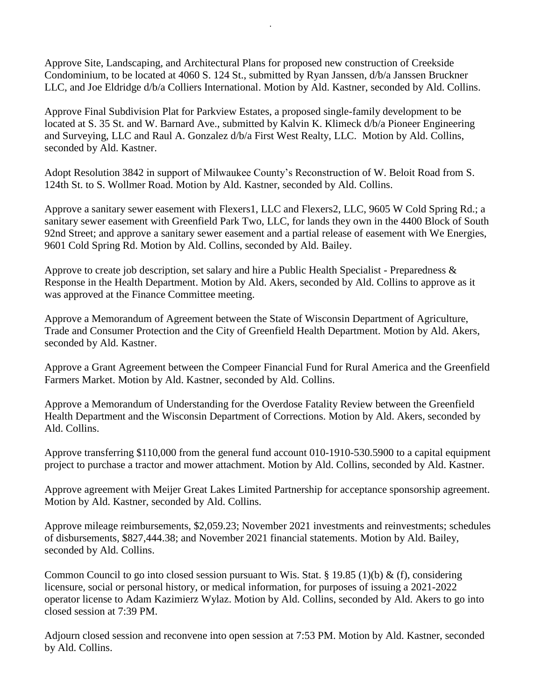Approve Site, Landscaping, and Architectural Plans for proposed new construction of Creekside Condominium, to be located at 4060 S. 124 St., submitted by Ryan Janssen, d/b/a Janssen Bruckner LLC, and Joe Eldridge d/b/a Colliers International. Motion by Ald. Kastner, seconded by Ald. Collins.

*.*

Approve Final Subdivision Plat for Parkview Estates, a proposed single-family development to be located at S. 35 St. and W. Barnard Ave., submitted by Kalvin K. Klimeck d/b/a Pioneer Engineering and Surveying, LLC and Raul A. Gonzalez d/b/a First West Realty, LLC. Motion by Ald. Collins, seconded by Ald. Kastner.

Adopt Resolution 3842 in support of Milwaukee County's Reconstruction of W. Beloit Road from S. 124th St. to S. Wollmer Road. Motion by Ald. Kastner, seconded by Ald. Collins.

Approve a sanitary sewer easement with Flexers1, LLC and Flexers2, LLC, 9605 W Cold Spring Rd.; a sanitary sewer easement with Greenfield Park Two, LLC, for lands they own in the 4400 Block of South 92nd Street; and approve a sanitary sewer easement and a partial release of easement with We Energies, 9601 Cold Spring Rd. Motion by Ald. Collins, seconded by Ald. Bailey.

Approve to create job description, set salary and hire a Public Health Specialist - Preparedness & Response in the Health Department. Motion by Ald. Akers, seconded by Ald. Collins to approve as it was approved at the Finance Committee meeting.

Approve a Memorandum of Agreement between the State of Wisconsin Department of Agriculture, Trade and Consumer Protection and the City of Greenfield Health Department. Motion by Ald. Akers, seconded by Ald. Kastner.

Approve a Grant Agreement between the Compeer Financial Fund for Rural America and the Greenfield Farmers Market. Motion by Ald. Kastner, seconded by Ald. Collins.

Approve a Memorandum of Understanding for the Overdose Fatality Review between the Greenfield Health Department and the Wisconsin Department of Corrections. Motion by Ald. Akers, seconded by Ald. Collins.

Approve transferring \$110,000 from the general fund account 010-1910-530.5900 to a capital equipment project to purchase a tractor and mower attachment. Motion by Ald. Collins, seconded by Ald. Kastner.

Approve agreement with Meijer Great Lakes Limited Partnership for acceptance sponsorship agreement. Motion by Ald. Kastner, seconded by Ald. Collins.

Approve mileage reimbursements, \$2,059.23; November 2021 investments and reinvestments; schedules of disbursements, \$827,444.38; and November 2021 financial statements. Motion by Ald. Bailey, seconded by Ald. Collins.

Common Council to go into closed session pursuant to Wis. Stat. § 19.85 (1)(b) & (f), considering licensure, social or personal history, or medical information, for purposes of issuing a 2021-2022 operator license to Adam Kazimierz Wylaz. Motion by Ald. Collins, seconded by Ald. Akers to go into closed session at 7:39 PM.

Adjourn closed session and reconvene into open session at 7:53 PM. Motion by Ald. Kastner, seconded by Ald. Collins.